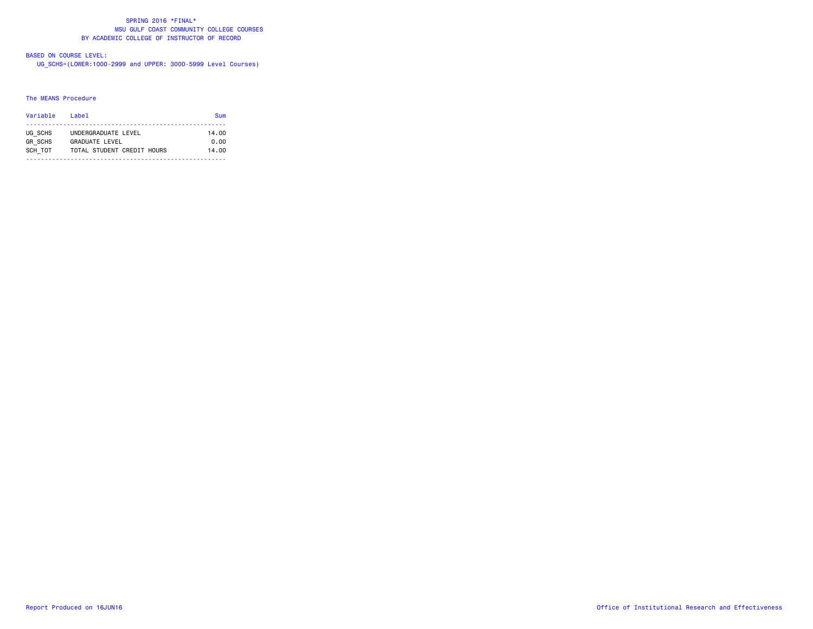#### SPRING 2016 \*FINAL\* MSU GULF COAST COMMUNITY COLLEGE COURSESBY ACADEMIC COLLEGE OF INSTRUCTOR OF RECORD

# BASED ON COURSE LEVEL:

UG\_SCHS=(LOWER:1000-2999 and UPPER: 3000-5999 Level Courses)

#### The MEANS Procedure

| Variable       | l ahel                     | Sum   |  |  |  |  |
|----------------|----------------------------|-------|--|--|--|--|
| UG SCHS        | UNDERGRADUATE LEVEL        | 14.00 |  |  |  |  |
| <b>GR SCHS</b> | GRADUATE LEVEL             | 0.00  |  |  |  |  |
| SCH TOT        | TOTAL STUDENT CREDIT HOURS | 14.00 |  |  |  |  |
|                |                            |       |  |  |  |  |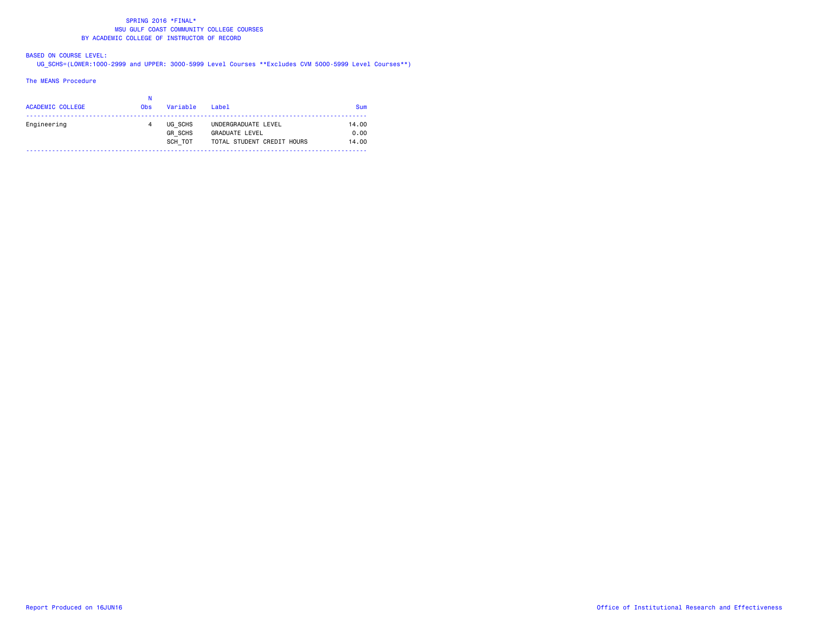#### SPRING 2016 \*FINAL\* MSU GULF COAST COMMUNITY COLLEGE COURSESBY ACADEMIC COLLEGE OF INSTRUCTOR OF RECORD

## BASED ON COURSE LEVEL:

UG\_SCHS=(LOWER:1000-2999 and UPPER: 3000-5999 Level Courses \*\*Excludes CVM 5000-5999 Level Courses\*\*)

#### The MEANS Procedure

| <b>ACADEMIC COLLEGE</b> | <b>Obs</b> | Variable                             | Label                                                                      | Sum                    |
|-------------------------|------------|--------------------------------------|----------------------------------------------------------------------------|------------------------|
| Engineering             |            | UG SCHS<br><b>GR SCHS</b><br>SCH TOT | UNDERGRADUATE LEVEL<br><b>GRADUATE LEVEL</b><br>TOTAL STUDENT CREDIT HOURS | 14.00<br>0.00<br>14.00 |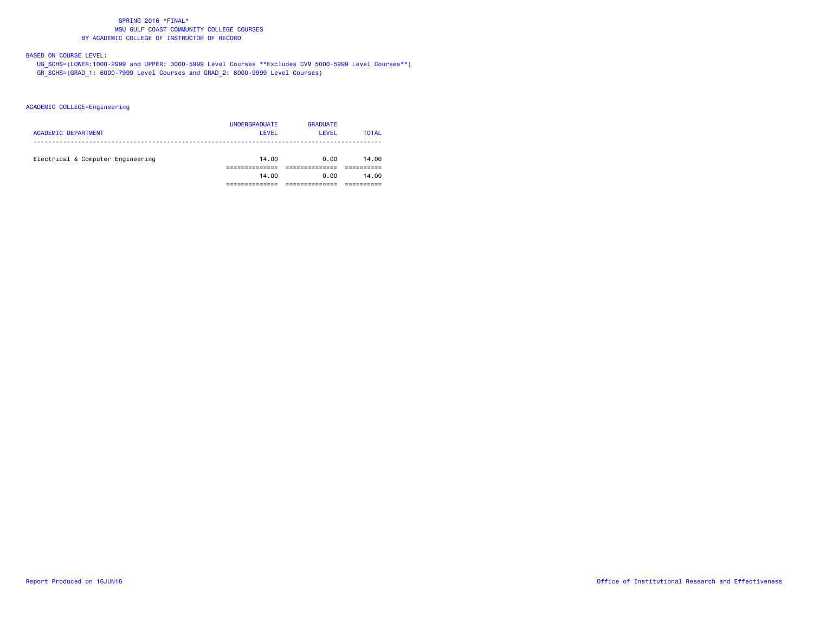#### SPRING 2016 \*FINAL\* MSU GULF COAST COMMUNITY COLLEGE COURSESBY ACADEMIC COLLEGE OF INSTRUCTOR OF RECORD

# BASED ON COURSE LEVEL:

 UG\_SCHS=(LOWER:1000-2999 and UPPER: 3000-5999 Level Courses \*\*Excludes CVM 5000-5999 Level Courses\*\*) GR\_SCHS=(GRAD\_1: 6000-7999 Level Courses and GRAD\_2: 8000-9999 Level Courses)

ACADEMIC COLLEGE=Engineering

| <b>ACADEMIC DEPARTMENT</b>        | <b>UNDERGRADUATE</b><br>LEVEL | <b>GRADUATE</b><br><b>LEVEL</b> | <b>TOTAL</b> |
|-----------------------------------|-------------------------------|---------------------------------|--------------|
| Electrical & Computer Engineering | 14.00                         | 0.00                            | 14.00        |
|                                   | 14.00                         | 0.00                            | 14.00        |
|                                   |                               |                                 |              |